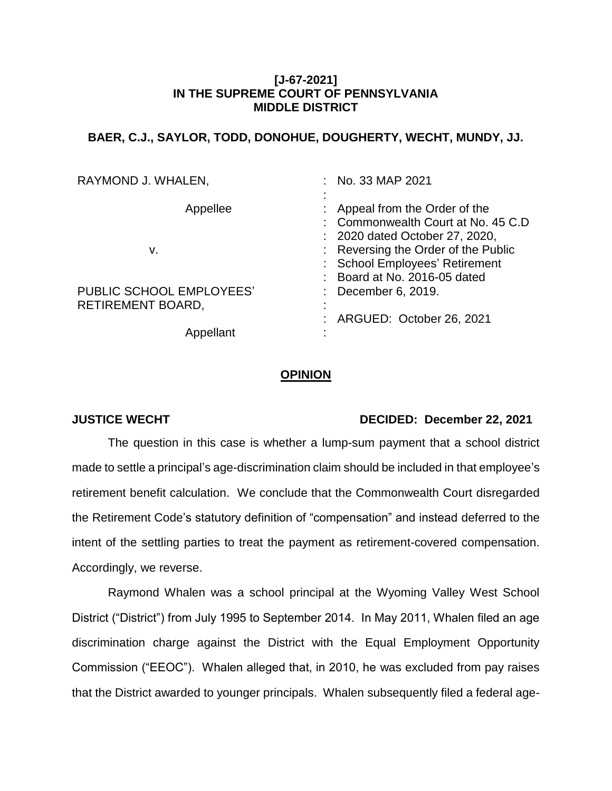## **[J-67-2021] IN THE SUPREME COURT OF PENNSYLVANIA MIDDLE DISTRICT**

# **BAER, C.J., SAYLOR, TODD, DONOHUE, DOUGHERTY, WECHT, MUNDY, JJ.**

| RAYMOND J. WHALEN,                            | $:$ No. 33 MAP 2021                                                                                                                                                                                         |
|-----------------------------------------------|-------------------------------------------------------------------------------------------------------------------------------------------------------------------------------------------------------------|
| Appellee<br>v.                                | Appeal from the Order of the<br>: Commonwealth Court at No. 45 C.D<br>: 2020 dated October 27, 2020,<br>: Reversing the Order of the Public<br>: School Employees' Retirement<br>Board at No. 2016-05 dated |
| PUBLIC SCHOOL EMPLOYEES'<br>RETIREMENT BOARD, | December 6, 2019.<br>ARGUED: October 26, 2021                                                                                                                                                               |
|                                               |                                                                                                                                                                                                             |

### **OPINION**

### **JUSTICE WECHT DECIDED: December 22, 2021**

The question in this case is whether a lump-sum payment that a school district made to settle a principal's age-discrimination claim should be included in that employee's retirement benefit calculation. We conclude that the Commonwealth Court disregarded the Retirement Code's statutory definition of "compensation" and instead deferred to the intent of the settling parties to treat the payment as retirement-covered compensation. Accordingly, we reverse.

Raymond Whalen was a school principal at the Wyoming Valley West School District ("District") from July 1995 to September 2014. In May 2011, Whalen filed an age discrimination charge against the District with the Equal Employment Opportunity Commission ("EEOC"). Whalen alleged that, in 2010, he was excluded from pay raises that the District awarded to younger principals. Whalen subsequently filed a federal age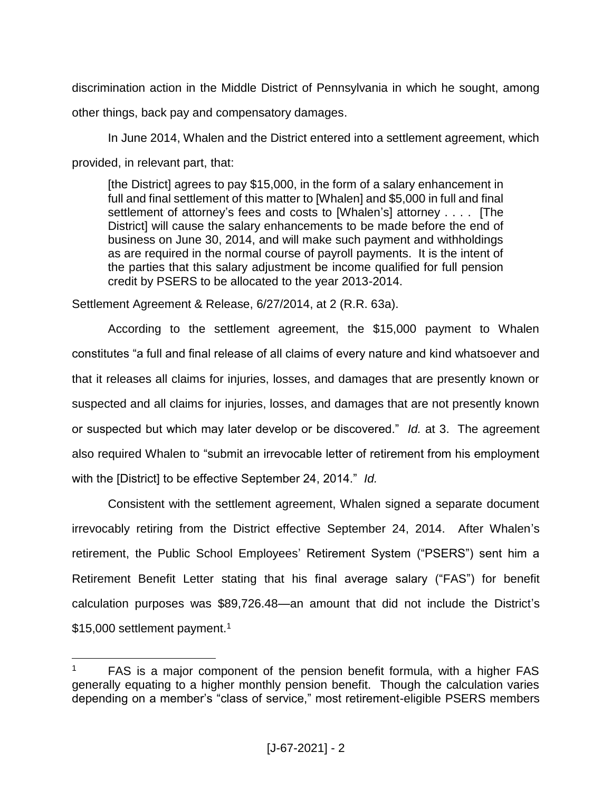discrimination action in the Middle District of Pennsylvania in which he sought, among other things, back pay and compensatory damages.

In June 2014, Whalen and the District entered into a settlement agreement, which provided, in relevant part, that:

[the District] agrees to pay \$15,000, in the form of a salary enhancement in full and final settlement of this matter to [Whalen] and \$5,000 in full and final settlement of attorney's fees and costs to [Whalen's] attorney . . . . [The District] will cause the salary enhancements to be made before the end of business on June 30, 2014, and will make such payment and withholdings as are required in the normal course of payroll payments. It is the intent of the parties that this salary adjustment be income qualified for full pension credit by PSERS to be allocated to the year 2013-2014.

Settlement Agreement & Release, 6/27/2014, at 2 (R.R. 63a).

 $\overline{a}$ 

According to the settlement agreement, the \$15,000 payment to Whalen constitutes "a full and final release of all claims of every nature and kind whatsoever and that it releases all claims for injuries, losses, and damages that are presently known or suspected and all claims for injuries, losses, and damages that are not presently known or suspected but which may later develop or be discovered." *Id.* at 3. The agreement also required Whalen to "submit an irrevocable letter of retirement from his employment with the [District] to be effective September 24, 2014." *Id.*

Consistent with the settlement agreement, Whalen signed a separate document irrevocably retiring from the District effective September 24, 2014. After Whalen's retirement, the Public School Employees' Retirement System ("PSERS") sent him a Retirement Benefit Letter stating that his final average salary ("FAS") for benefit calculation purposes was \$89,726.48—an amount that did not include the District's \$15,000 settlement payment.<sup>1</sup>

<sup>1</sup> FAS is a major component of the pension benefit formula, with a higher FAS generally equating to a higher monthly pension benefit. Though the calculation varies depending on a member's "class of service," most retirement-eligible PSERS members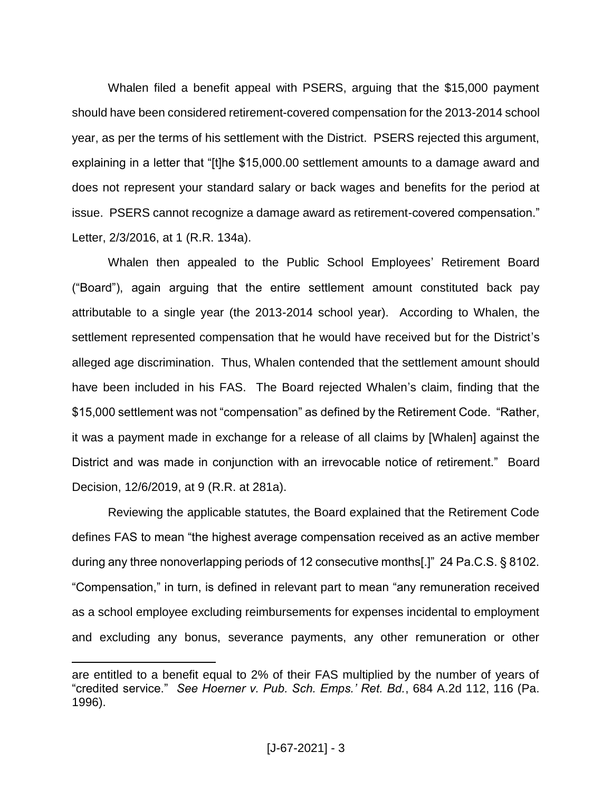Whalen filed a benefit appeal with PSERS, arguing that the \$15,000 payment should have been considered retirement-covered compensation for the 2013-2014 school year, as per the terms of his settlement with the District. PSERS rejected this argument, explaining in a letter that "[t]he \$15,000.00 settlement amounts to a damage award and does not represent your standard salary or back wages and benefits for the period at issue. PSERS cannot recognize a damage award as retirement-covered compensation." Letter, 2/3/2016, at 1 (R.R. 134a).

Whalen then appealed to the Public School Employees' Retirement Board ("Board"), again arguing that the entire settlement amount constituted back pay attributable to a single year (the 2013-2014 school year). According to Whalen, the settlement represented compensation that he would have received but for the District's alleged age discrimination. Thus, Whalen contended that the settlement amount should have been included in his FAS. The Board rejected Whalen's claim, finding that the \$15,000 settlement was not "compensation" as defined by the Retirement Code. "Rather, it was a payment made in exchange for a release of all claims by [Whalen] against the District and was made in conjunction with an irrevocable notice of retirement." Board Decision, 12/6/2019, at 9 (R.R. at 281a).

Reviewing the applicable statutes, the Board explained that the Retirement Code defines FAS to mean "the highest average compensation received as an active member during any three nonoverlapping periods of 12 consecutive months[.]" 24 Pa.C.S. § 8102. "Compensation," in turn, is defined in relevant part to mean "any remuneration received as a school employee excluding reimbursements for expenses incidental to employment and excluding any bonus, severance payments, any other remuneration or other

are entitled to a benefit equal to 2% of their FAS multiplied by the number of years of "credited service." *See Hoerner v. Pub. Sch. Emps.' Ret. Bd.*, 684 A.2d 112, 116 (Pa. 1996).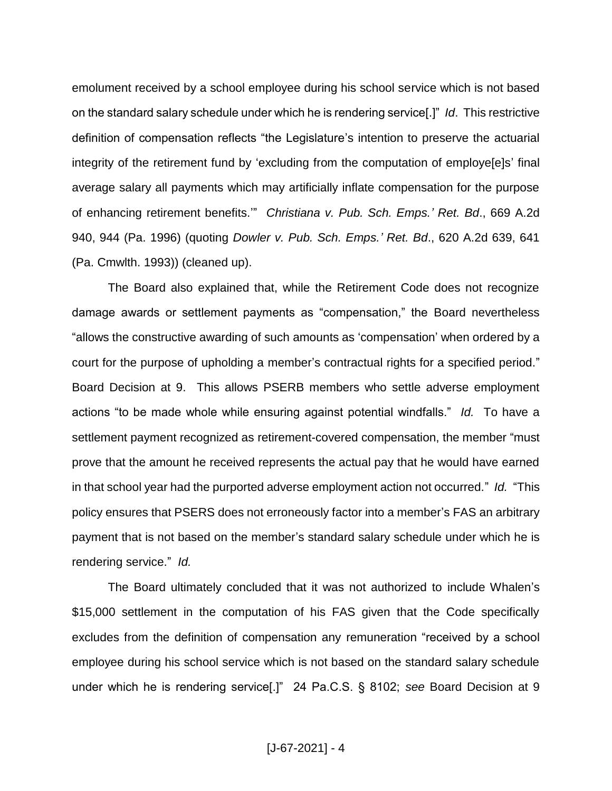emolument received by a school employee during his school service which is not based on the standard salary schedule under which he is rendering service[.]" *Id*. This restrictive definition of compensation reflects "the Legislature's intention to preserve the actuarial integrity of the retirement fund by 'excluding from the computation of employe[e]s' final average salary all payments which may artificially inflate compensation for the purpose of enhancing retirement benefits.'" *Christiana v. Pub. Sch. Emps.' Ret. Bd*., 669 A.2d 940, 944 (Pa. 1996) (quoting *Dowler v. Pub. Sch. Emps.' Ret. Bd*., 620 A.2d 639, 641 (Pa. Cmwlth. 1993)) (cleaned up).

The Board also explained that, while the Retirement Code does not recognize damage awards or settlement payments as "compensation," the Board nevertheless "allows the constructive awarding of such amounts as 'compensation' when ordered by a court for the purpose of upholding a member's contractual rights for a specified period." Board Decision at 9. This allows PSERB members who settle adverse employment actions "to be made whole while ensuring against potential windfalls." *Id.* To have a settlement payment recognized as retirement-covered compensation, the member "must prove that the amount he received represents the actual pay that he would have earned in that school year had the purported adverse employment action not occurred." *Id.* "This policy ensures that PSERS does not erroneously factor into a member's FAS an arbitrary payment that is not based on the member's standard salary schedule under which he is rendering service." *Id.*

The Board ultimately concluded that it was not authorized to include Whalen's \$15,000 settlement in the computation of his FAS given that the Code specifically excludes from the definition of compensation any remuneration "received by a school employee during his school service which is not based on the standard salary schedule under which he is rendering service[.]" 24 Pa.C.S. § 8102; *see* Board Decision at 9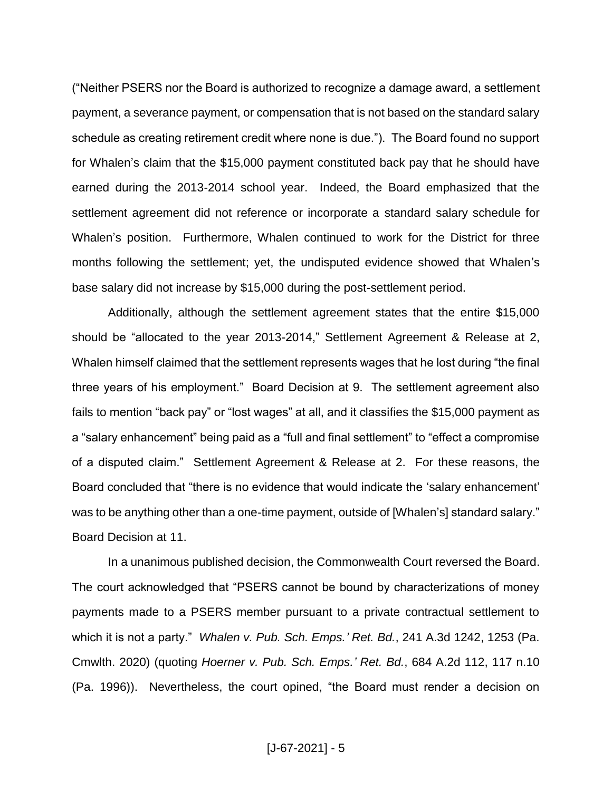("Neither PSERS nor the Board is authorized to recognize a damage award, a settlement payment, a severance payment, or compensation that is not based on the standard salary schedule as creating retirement credit where none is due."). The Board found no support for Whalen's claim that the \$15,000 payment constituted back pay that he should have earned during the 2013-2014 school year. Indeed, the Board emphasized that the settlement agreement did not reference or incorporate a standard salary schedule for Whalen's position. Furthermore, Whalen continued to work for the District for three months following the settlement; yet, the undisputed evidence showed that Whalen's base salary did not increase by \$15,000 during the post-settlement period.

Additionally, although the settlement agreement states that the entire \$15,000 should be "allocated to the year 2013-2014," Settlement Agreement & Release at 2, Whalen himself claimed that the settlement represents wages that he lost during "the final three years of his employment." Board Decision at 9. The settlement agreement also fails to mention "back pay" or "lost wages" at all, and it classifies the \$15,000 payment as a "salary enhancement" being paid as a "full and final settlement" to "effect a compromise of a disputed claim." Settlement Agreement & Release at 2. For these reasons, the Board concluded that "there is no evidence that would indicate the 'salary enhancement' was to be anything other than a one-time payment, outside of [Whalen's] standard salary." Board Decision at 11.

In a unanimous published decision, the Commonwealth Court reversed the Board. The court acknowledged that "PSERS cannot be bound by characterizations of money payments made to a PSERS member pursuant to a private contractual settlement to which it is not a party." *Whalen v. Pub. Sch. Emps.' Ret. Bd.*, 241 A.3d 1242, 1253 (Pa. Cmwlth. 2020) (quoting *Hoerner v. Pub. Sch. Emps.' Ret. Bd.*, 684 A.2d 112, 117 n.10 (Pa. 1996)). Nevertheless, the court opined, "the Board must render a decision on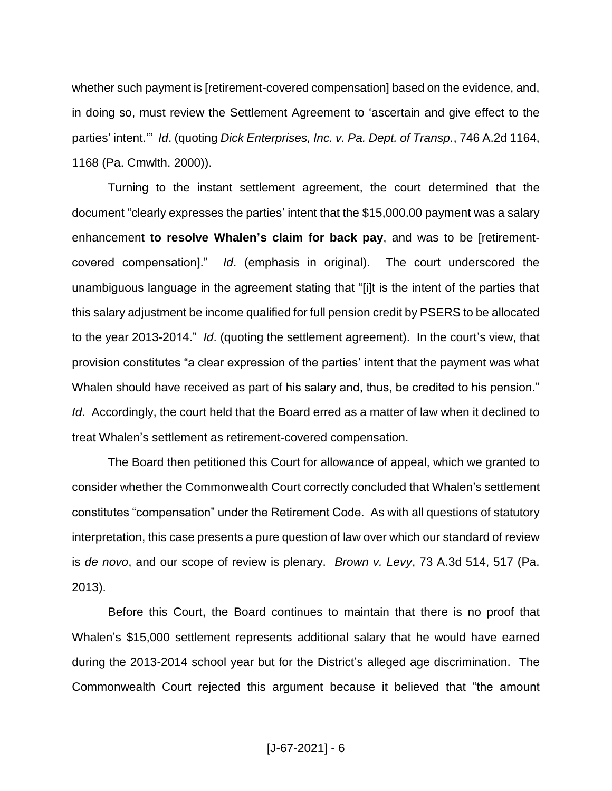whether such payment is [retirement-covered compensation] based on the evidence, and, in doing so, must review the Settlement Agreement to 'ascertain and give effect to the parties' intent.'" *Id*. (quoting *Dick Enterprises, Inc. v. Pa. Dept. of Transp.*, 746 A.2d 1164, 1168 (Pa. Cmwlth. 2000)).

Turning to the instant settlement agreement, the court determined that the document "clearly expresses the parties' intent that the \$15,000.00 payment was a salary enhancement **to resolve Whalen's claim for back pay**, and was to be [retirementcovered compensation]." *Id*. (emphasis in original). The court underscored the unambiguous language in the agreement stating that "[i]t is the intent of the parties that this salary adjustment be income qualified for full pension credit by PSERS to be allocated to the year 2013-2014." *Id*. (quoting the settlement agreement). In the court's view, that provision constitutes "a clear expression of the parties' intent that the payment was what Whalen should have received as part of his salary and, thus, be credited to his pension." *Id.* Accordingly, the court held that the Board erred as a matter of law when it declined to treat Whalen's settlement as retirement-covered compensation.

The Board then petitioned this Court for allowance of appeal, which we granted to consider whether the Commonwealth Court correctly concluded that Whalen's settlement constitutes "compensation" under the Retirement Code. As with all questions of statutory interpretation, this case presents a pure question of law over which our standard of review is *de novo*, and our scope of review is plenary. *Brown v. Levy*, 73 A.3d 514, 517 (Pa. 2013).

Before this Court, the Board continues to maintain that there is no proof that Whalen's \$15,000 settlement represents additional salary that he would have earned during the 2013-2014 school year but for the District's alleged age discrimination. The Commonwealth Court rejected this argument because it believed that "the amount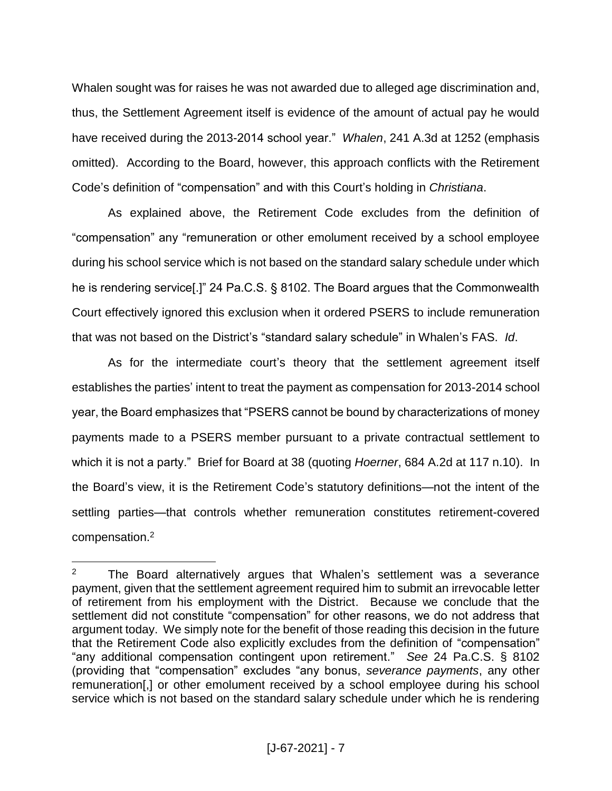Whalen sought was for raises he was not awarded due to alleged age discrimination and, thus, the Settlement Agreement itself is evidence of the amount of actual pay he would have received during the 2013-2014 school year." *Whalen*, 241 A.3d at 1252 (emphasis omitted). According to the Board, however, this approach conflicts with the Retirement Code's definition of "compensation" and with this Court's holding in *Christiana*.

As explained above, the Retirement Code excludes from the definition of "compensation" any "remuneration or other emolument received by a school employee during his school service which is not based on the standard salary schedule under which he is rendering service[.]" 24 Pa.C.S. § 8102. The Board argues that the Commonwealth Court effectively ignored this exclusion when it ordered PSERS to include remuneration that was not based on the District's "standard salary schedule" in Whalen's FAS. *Id*.

As for the intermediate court's theory that the settlement agreement itself establishes the parties' intent to treat the payment as compensation for 2013-2014 school year, the Board emphasizes that "PSERS cannot be bound by characterizations of money payments made to a PSERS member pursuant to a private contractual settlement to which it is not a party." Brief for Board at 38 (quoting *Hoerner*, 684 A.2d at 117 n.10). In the Board's view, it is the Retirement Code's statutory definitions—not the intent of the settling parties—that controls whether remuneration constitutes retirement-covered compensation.<sup>2</sup>

<sup>&</sup>lt;sup>2</sup> The Board alternatively argues that Whalen's settlement was a severance payment, given that the settlement agreement required him to submit an irrevocable letter of retirement from his employment with the District. Because we conclude that the settlement did not constitute "compensation" for other reasons, we do not address that argument today. We simply note for the benefit of those reading this decision in the future that the Retirement Code also explicitly excludes from the definition of "compensation" "any additional compensation contingent upon retirement." *See* 24 Pa.C.S. § 8102 (providing that "compensation" excludes "any bonus, *severance payments*, any other remuneration[,] or other emolument received by a school employee during his school service which is not based on the standard salary schedule under which he is rendering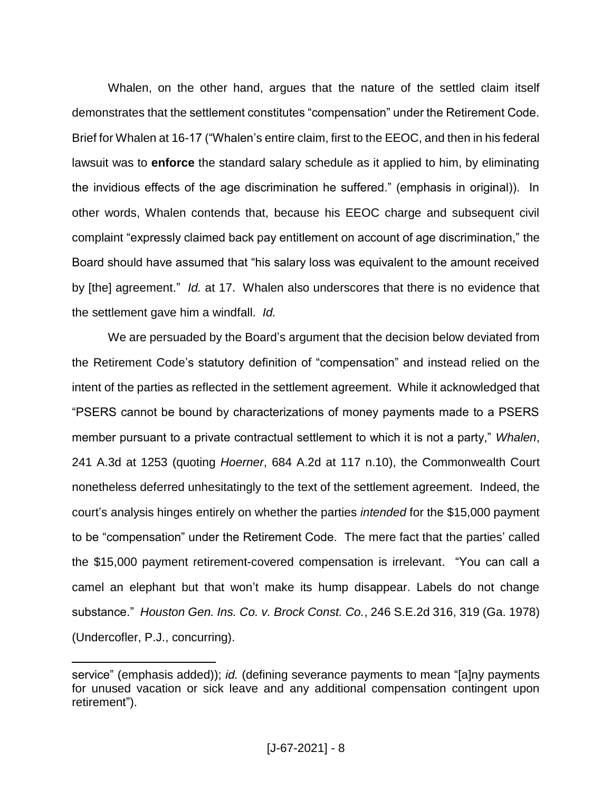Whalen, on the other hand, argues that the nature of the settled claim itself demonstrates that the settlement constitutes "compensation" under the Retirement Code. Brief for Whalen at 16-17 ("Whalen's entire claim, first to the EEOC, and then in his federal lawsuit was to **enforce** the standard salary schedule as it applied to him, by eliminating the invidious effects of the age discrimination he suffered." (emphasis in original)). In other words, Whalen contends that, because his EEOC charge and subsequent civil complaint "expressly claimed back pay entitlement on account of age discrimination," the Board should have assumed that "his salary loss was equivalent to the amount received by [the] agreement." *Id.* at 17. Whalen also underscores that there is no evidence that the settlement gave him a windfall. *Id.*

We are persuaded by the Board's argument that the decision below deviated from the Retirement Code's statutory definition of "compensation" and instead relied on the intent of the parties as reflected in the settlement agreement. While it acknowledged that "PSERS cannot be bound by characterizations of money payments made to a PSERS member pursuant to a private contractual settlement to which it is not a party," *Whalen*, 241 A.3d at 1253 (quoting *Hoerner*, 684 A.2d at 117 n.10), the Commonwealth Court nonetheless deferred unhesitatingly to the text of the settlement agreement. Indeed, the court's analysis hinges entirely on whether the parties *intended* for the \$15,000 payment to be "compensation" under the Retirement Code. The mere fact that the parties' called the \$15,000 payment retirement-covered compensation is irrelevant. "You can call a camel an elephant but that won't make its hump disappear. Labels do not change substance." *Houston Gen. Ins. Co. v. Brock Const. Co.*, 246 S.E.2d 316, 319 (Ga. 1978) (Undercofler, P.J., concurring).

service" (emphasis added)); *id.* (defining severance payments to mean "[a]ny payments for unused vacation or sick leave and any additional compensation contingent upon retirement").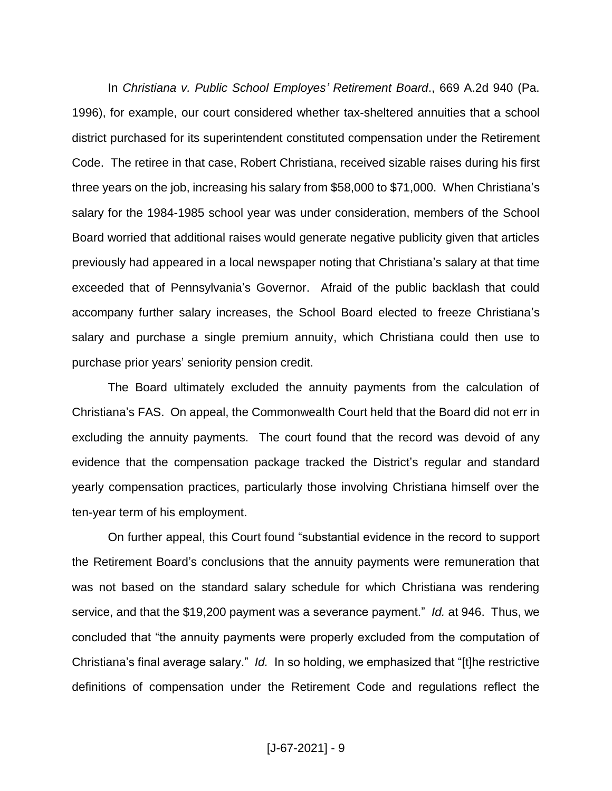In *Christiana v. Public School Employes' Retirement Board*., 669 A.2d 940 (Pa. 1996), for example, our court considered whether tax-sheltered annuities that a school district purchased for its superintendent constituted compensation under the Retirement Code. The retiree in that case, Robert Christiana, received sizable raises during his first three years on the job, increasing his salary from \$58,000 to \$71,000. When Christiana's salary for the 1984-1985 school year was under consideration, members of the School Board worried that additional raises would generate negative publicity given that articles previously had appeared in a local newspaper noting that Christiana's salary at that time exceeded that of Pennsylvania's Governor. Afraid of the public backlash that could accompany further salary increases, the School Board elected to freeze Christiana's salary and purchase a single premium annuity, which Christiana could then use to purchase prior years' seniority pension credit.

The Board ultimately excluded the annuity payments from the calculation of Christiana's FAS. On appeal, the Commonwealth Court held that the Board did not err in excluding the annuity payments. The court found that the record was devoid of any evidence that the compensation package tracked the District's regular and standard yearly compensation practices, particularly those involving Christiana himself over the ten-year term of his employment.

On further appeal, this Court found "substantial evidence in the record to support the Retirement Board's conclusions that the annuity payments were remuneration that was not based on the standard salary schedule for which Christiana was rendering service, and that the \$19,200 payment was a severance payment." *Id.* at 946. Thus, we concluded that "the annuity payments were properly excluded from the computation of Christiana's final average salary." *Id.* In so holding, we emphasized that "[t]he restrictive definitions of compensation under the Retirement Code and regulations reflect the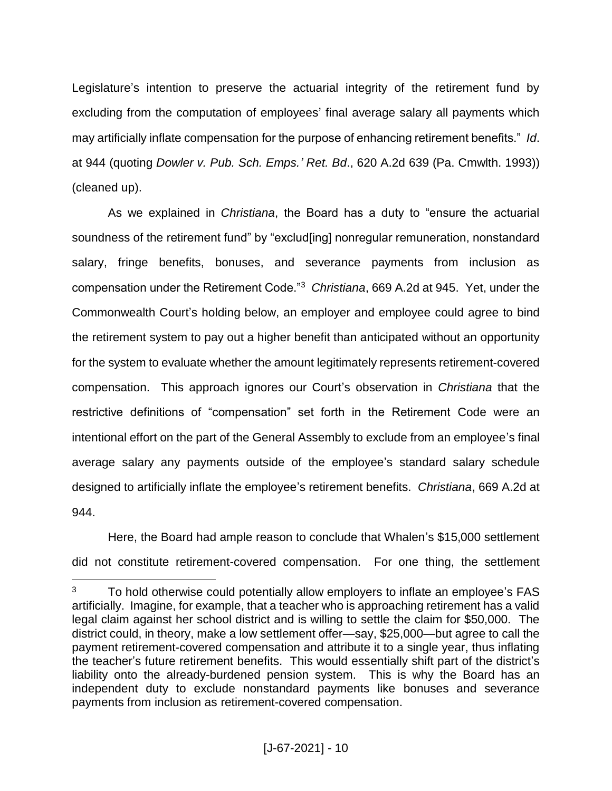Legislature's intention to preserve the actuarial integrity of the retirement fund by excluding from the computation of employees' final average salary all payments which may artificially inflate compensation for the purpose of enhancing retirement benefits." *Id*. at 944 (quoting *Dowler v. Pub. Sch. Emps.' Ret. Bd*., 620 A.2d 639 (Pa. Cmwlth. 1993)) (cleaned up).

As we explained in *Christiana*, the Board has a duty to "ensure the actuarial soundness of the retirement fund" by "exclud[ing] nonregular remuneration, nonstandard salary, fringe benefits, bonuses, and severance payments from inclusion as compensation under the Retirement Code."<sup>3</sup> *Christiana*, 669 A.2d at 945. Yet, under the Commonwealth Court's holding below, an employer and employee could agree to bind the retirement system to pay out a higher benefit than anticipated without an opportunity for the system to evaluate whether the amount legitimately represents retirement-covered compensation. This approach ignores our Court's observation in *Christiana* that the restrictive definitions of "compensation" set forth in the Retirement Code were an intentional effort on the part of the General Assembly to exclude from an employee's final average salary any payments outside of the employee's standard salary schedule designed to artificially inflate the employee's retirement benefits. *Christiana*, 669 A.2d at 944.

Here, the Board had ample reason to conclude that Whalen's \$15,000 settlement did not constitute retirement-covered compensation. For one thing, the settlement

 $3$  To hold otherwise could potentially allow employers to inflate an employee's FAS artificially. Imagine, for example, that a teacher who is approaching retirement has a valid legal claim against her school district and is willing to settle the claim for \$50,000. The district could, in theory, make a low settlement offer—say, \$25,000—but agree to call the payment retirement-covered compensation and attribute it to a single year, thus inflating the teacher's future retirement benefits. This would essentially shift part of the district's liability onto the already-burdened pension system. This is why the Board has an independent duty to exclude nonstandard payments like bonuses and severance payments from inclusion as retirement-covered compensation.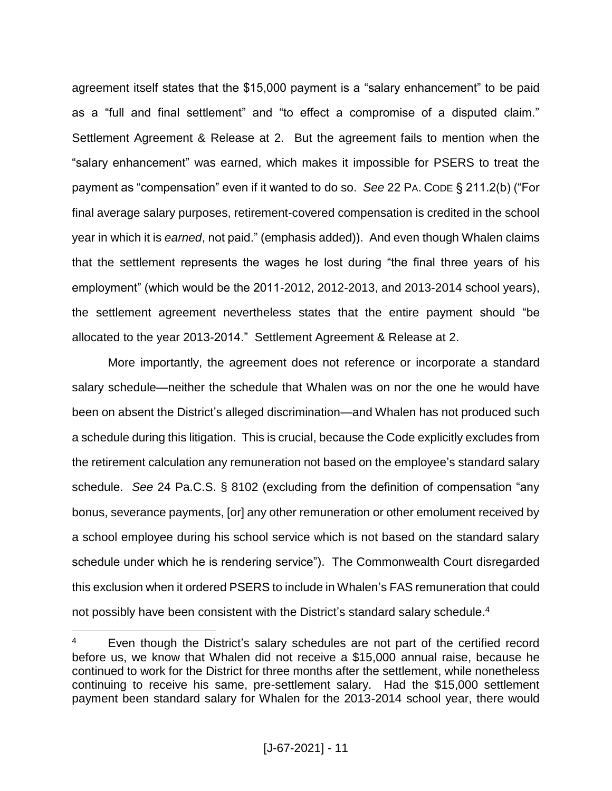agreement itself states that the \$15,000 payment is a "salary enhancement" to be paid as a "full and final settlement" and "to effect a compromise of a disputed claim." Settlement Agreement & Release at 2. But the agreement fails to mention when the "salary enhancement" was earned, which makes it impossible for PSERS to treat the payment as "compensation" even if it wanted to do so. *See* 22 PA. CODE § 211.2(b) ("For final average salary purposes, retirement-covered compensation is credited in the school year in which it is *earned*, not paid." (emphasis added)). And even though Whalen claims that the settlement represents the wages he lost during "the final three years of his employment" (which would be the 2011-2012, 2012-2013, and 2013-2014 school years), the settlement agreement nevertheless states that the entire payment should "be allocated to the year 2013-2014." Settlement Agreement & Release at 2.

More importantly, the agreement does not reference or incorporate a standard salary schedule—neither the schedule that Whalen was on nor the one he would have been on absent the District's alleged discrimination—and Whalen has not produced such a schedule during this litigation. This is crucial, because the Code explicitly excludes from the retirement calculation any remuneration not based on the employee's standard salary schedule. *See* 24 Pa.C.S. § 8102 (excluding from the definition of compensation "any bonus, severance payments, [or] any other remuneration or other emolument received by a school employee during his school service which is not based on the standard salary schedule under which he is rendering service"). The Commonwealth Court disregarded this exclusion when it ordered PSERS to include in Whalen's FAS remuneration that could not possibly have been consistent with the District's standard salary schedule.<sup>4</sup>

<sup>&</sup>lt;sup>4</sup> Even though the District's salary schedules are not part of the certified record before us, we know that Whalen did not receive a \$15,000 annual raise, because he continued to work for the District for three months after the settlement, while nonetheless continuing to receive his same, pre-settlement salary. Had the \$15,000 settlement payment been standard salary for Whalen for the 2013-2014 school year, there would